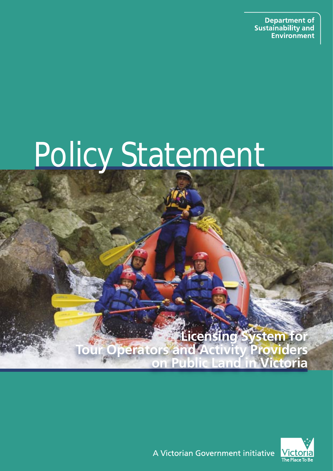**Department of Sustainability and Environment** 

# Policy Statement

**Licensing System for Tour Operators and Activity Providers on Public Land in Victoria**



A Victorian Government initiative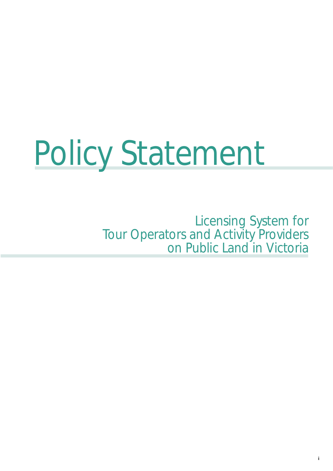# Policy Statement

Licensing System for Tour Operators and Activity Providers on Public Land in Victoria

ì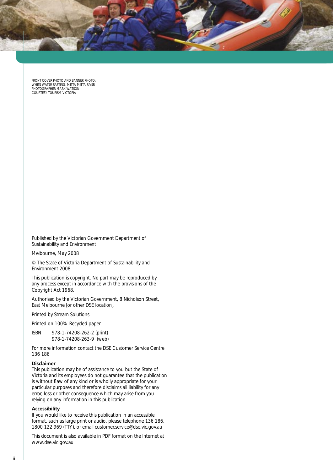

Front cover photo and banner photo: white water rafting, mitta mitta river photographer Mark Watson Courtesy tourism victoria

Published by the Victorian Government Department of Sustainability and Environment

Melbourne, May 2008

© The State of Victoria Department of Sustainability and Environment 2008

This publication is copyright. No part may be reproduced by any process except in accordance with the provisions of the *Copyright Act 1968*.

Authorised by the Victorian Government, 8 Nicholson Street, East Melbourne [or other DSE location].

Printed by Stream Solutions

Printed on 100% Recycled paper

ISBN 978-1-74208-262-2 (print) 978-1-74208-263-9 (web)

For more information contact the DSE Customer Service Centre 136 186

#### **Disclaimer**

This publication may be of assistance to you but the State of Victoria and its employees do not guarantee that the publication is without flaw of any kind or is wholly appropriate for your particular purposes and therefore disclaims all liability for any error, loss or other consequence which may arise from you relying on any information in this publication.

#### **Accessibility**

If you would like to receive this publication in an accessible format, such as large print or audio, please telephone 136 186, 1800 122 969 (TTY), or email customer.service@dse.vic.gov.au

This document is also available in PDF format on the Internet at www.dse.vic.gov.au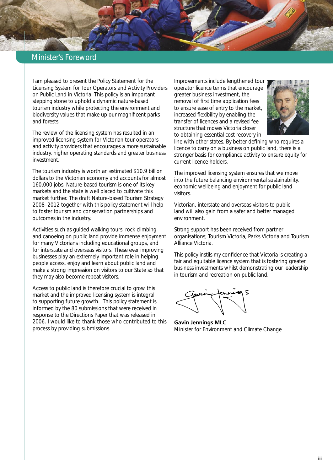# Minister's Foreword

I am pleased to present the *Policy Statement for the Licensing System for Tour Operators and Activity Providers on Public Land in Victoria*. This policy is an important stepping stone to uphold a dynamic nature-based tourism industry while protecting the environment and biodiversity values that make up our magnificent parks and forests.

The review of the licensing system has resulted in an improved licensing system for Victorian tour operators and activity providers that encourages a more sustainable industry, higher operating standards and greater business investment.

The tourism industry is worth an estimated \$10.9 billion dollars to the Victorian economy and accounts for almost 160,000 jobs. Nature-based tourism is one of its key markets and the state is well placed to cultivate this market further. The draft N*ature-based Tourism Strategy 2008–2012* together with this policy statement will help to foster tourism and conservation partnerships and outcomes in the industry.

Activities such as guided walking tours, rock climbing and canoeing on public land provide immense enjoyment for many Victorians including educational groups, and for interstate and overseas visitors. These ever improving businesses play an extremely important role in helping people access, enjoy and learn about public land and make a strong impression on visitors to our State so that they may also become repeat visitors.

Access to public land is therefore crucial to grow this market and the improved licensing system is integral to supporting future growth. This policy statement is informed by the 80 submissions that were received in response to the Directions Paper that was released in 2006. I would like to thank those who contributed to this process by providing submissions.

Improvements include lengthened tour operator licence terms that encourage greater business investment, the removal of first time application fees to ensure ease of entry to the market, increased flexibility by enabling the transfer of licences and a revised fee structure that moves Victoria closer to obtaining essential cost recovery in



line with other states. By better defining who requires a licence to carry on a business on public land, there is a stronger basis for compliance activity to ensure equity for current licence holders.

The improved licensing system ensures that we move into the future balancing environmental sustainability, economic wellbeing and enjoyment for public land visitors.

Victorian, interstate and overseas visitors to public land will also gain from a safer and better managed environment.

Strong support has been received from partner organisations; Tourism Victoria, Parks Victoria and Tourism Alliance Victoria.

This policy instils my confidence that Victoria is creating a fair and equitable licence system that is fostering greater business investments whilst demonstrating our leadership in tourism and recreation on public land.

**Gavin Jennings MLC**  Minister for Environment and Climate Change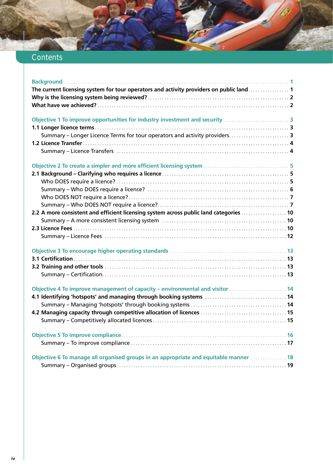# **Contents**

| The current licensing system for tour operators and activity providers on public land <b>Supering 1</b>                                                                                         |
|-------------------------------------------------------------------------------------------------------------------------------------------------------------------------------------------------|
|                                                                                                                                                                                                 |
|                                                                                                                                                                                                 |
|                                                                                                                                                                                                 |
|                                                                                                                                                                                                 |
| Summary - Longer Licence Terms for tour operators and activity providers 3                                                                                                                      |
|                                                                                                                                                                                                 |
|                                                                                                                                                                                                 |
|                                                                                                                                                                                                 |
|                                                                                                                                                                                                 |
|                                                                                                                                                                                                 |
|                                                                                                                                                                                                 |
|                                                                                                                                                                                                 |
|                                                                                                                                                                                                 |
| 2.2 A more consistent and efficient licensing system across public land categories <b>constitutions</b> 10                                                                                      |
| Summary - A more consistent licensing system [11] Marshall Marshall Marshall Marshall Marshall 10                                                                                               |
|                                                                                                                                                                                                 |
|                                                                                                                                                                                                 |
|                                                                                                                                                                                                 |
|                                                                                                                                                                                                 |
|                                                                                                                                                                                                 |
|                                                                                                                                                                                                 |
| Objective 4 To improve management of capacity - environmental and visitor [11] [14] Objective 4 To improve management of capacity - environmental and visitor [14] [14] [14] [14] [15] $\sigma$ |
| 4.1 Identifying 'hotspots' and managing through booking systems [10] Manuscription of 14                                                                                                        |
|                                                                                                                                                                                                 |
|                                                                                                                                                                                                 |
|                                                                                                                                                                                                 |
|                                                                                                                                                                                                 |
|                                                                                                                                                                                                 |
| Objective 6 To manage all organised groups in an appropriate and equitable manner [11] 18                                                                                                       |
|                                                                                                                                                                                                 |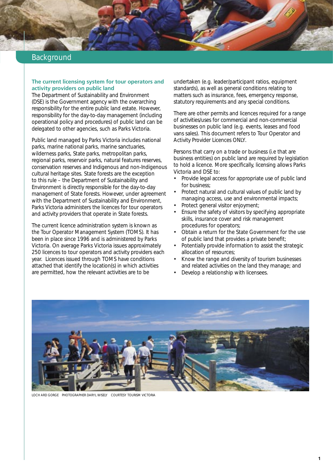# <span id="page-6-0"></span>Background

#### **The current licensing system for tour operators and activity providers on public land**

The Department of Sustainability and Environment (DSE) is the Government agency with the overarching responsibility for the entire public land estate. However, responsibility for the day-to-day management (including operational policy and procedures) of public land can be delegated to other agencies, such as Parks Victoria.

Public land managed by Parks Victoria includes national parks, marine national parks, marine sanctuaries, wilderness parks, State parks, metropolitan parks, regional parks, reservoir parks, natural features reserves, conservation reserves and Indigenous and non-Indigenous cultural heritage sites. State forests are the exception to this rule – the Department of Sustainability and Environment is directly responsible for the day-to-day management of State forests. However, under agreement with the Department of Sustainability and Environment, Parks Victoria administers the licences for tour operators and activity providers that operate in State forests.

The current licence administration system is known as the Tour Operator Management System (TOMS). It has been in place since 1996 and is administered by Parks Victoria. On average Parks Victoria issues approximately 250 licences to tour operators and activity providers each year. Licences issued through TOMS have conditions attached that identify the location(s) in which activities are permitted, how the relevant activities are to be

undertaken (e.g. leader/participant ratios, equipment standards), as well as general conditions relating to matters such as insurance, fees, emergency response, statutory requirements and any special conditions.

There are other permits and licences required for a range of activities/uses for commercial and non-commercial businesses on public land (e.g. events, leases and food vans sales). This document refers to Tour Operator and Activity Provider Licences ONLY.

Persons that carry on a trade or business (i.e that are business entities) on public land are required by legislation to hold a licence. More specifically, licensing allows Parks Victoria and DSE to:

- Provide legal access for appropriate use of public land for business;
- Protect natural and cultural values of public land by managing access, use and environmental impacts;
- Protect general visitor enjoyment;
- Ensure the safety of visitors by specifying appropriate skills, insurance cover and risk management procedures for operators;
- Obtain a return for the State Government for the use of public land that provides a private benefit;
- Potentially provide information to assist the strategic allocation of resources;
- Know the range and diversity of tourism businesses and related activities on the land they manage; and
- Develop a relationship with licensees.



loch ard gorge photographer daryl wisely courtesy Tourism Victoria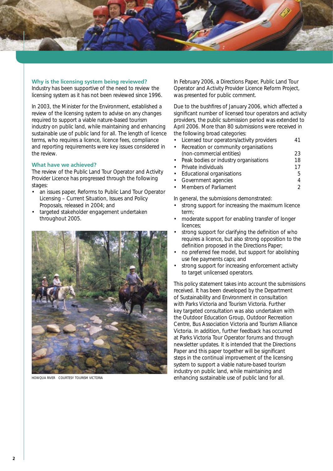<span id="page-7-0"></span>

#### **Why is the licensing system being reviewed?**

Industry has been supportive of the need to review the licensing system as it has not been reviewed since 1996.

In 2003, the Minister for the Environment, established a review of the licensing system to advise on any changes required to support a viable nature-based tourism industry on public land, while maintaining and enhancing sustainable use of public land for all. The length of licence terms, who requires a licence, licence fees, compliance and reporting requirements were key issues considered in the review.

#### **What have we achieved?**

The review of the Public Land Tour Operator and Activity Provider Licence has progressed through the following stages:

- an issues paper, *Reforms to Public Land Tour Operator Licensing – Current Situation, Issues and Policy Proposals*, released in 2004; and
- targeted stakeholder engagement undertaken throughout 2005.



In February 2006, a Directions Paper, *Public Land Tour Operator and Activity Provider Licence Reform Project*, was presented for public comment.

Due to the bushfires of January 2006, which affected a significant number of licensed tour operators and activity providers, the public submission period was extended to April 2006. More than 80 submissions were received in the following broad categories:

• Licensed tour operators/activity providers 41

| • Recreation or community organisations |    |
|-----------------------------------------|----|
| (non-commercial entities)               | 23 |
| • Peak bodies or industry organisations | 18 |
| • Private individuals                   | 17 |
| • Educational organisations             | h. |
| • Government agencies                   |    |
|                                         |    |

**Members of Parliament** 2

In general, the submissions demonstrated:

- strong support for increasing the maximum licence term;
- moderate support for enabling transfer of longer licences;
- strong support for clarifying the definition of who requires a licence, but also strong opposition to the definition proposed in the Directions Paper;
- no preferred fee model, but support for abolishing use fee payments caps; and
- strong support for increasing enforcement activity to target unlicensed operators.

This policy statement takes into account the submissions received. It has been developed by the Department of Sustainability and Environment in consultation with Parks Victoria and Tourism Victoria. Further key targeted consultation was also undertaken with the Outdoor Education Group, Outdoor Recreation Centre, Bus Association Victoria and Tourism Alliance Victoria. In addition, further feedback has occurred at Parks Victoria Tour Operator forums and through newsletter updates. It is intended that the Directions Paper and this paper together will be significant steps in the continual improvement of the licensing system to support a viable nature-based tourism industry on public land, while maintaining and howqua river courtesy Tourism Victoria enhancing sustainable use of public land for all.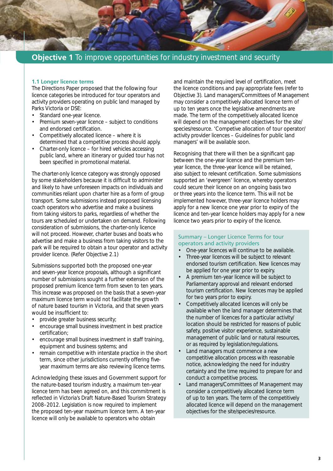<span id="page-8-0"></span>

# **1.1 Longer licence terms**

The Directions Paper proposed that the following four licence categories be introduced for tour operators and activity providers operating on public land managed by Parks Victoria or DSE:

- Standard one-year licence.<br>• Premium seven-year licence
- Premium seven-year licence subject to conditions and endorsed certification.
- Competitively allocated licence where it is determined that a competitive process should apply.
- Charter-only licence for hired vehicles accessing public land, where an itinerary or guided tour has not been specified in promotional material.

The charter-only licence category was strongly opposed by some stakeholders because it is difficult to administer and likely to have unforeseen impacts on individuals and communities reliant upon charter hire as a form of group transport. Some submissions instead proposed licensing coach operators who advertise and make a business from taking visitors to parks, regardless of whether the tours are scheduled or undertaken on demand. Following consideration of submissions, the charter-only licence will not proceed. However, charter buses and boats who advertise and make a business from taking visitors to the park will be required to obtain a tour operator and activity provider licence. (Refer Objective 2.1)

Submissions supported both the proposed one-year and seven-year licence proposals, although a significant number of submissions sought a further extension of the proposed premium licence term from seven to ten years. This increase was proposed on the basis that a seven-year maximum licence term would not facilitate the growth of nature based tourism in Victoria, and that seven years would be insufficient to:

- provide greater business security;
- encourage small business investment in best practice certification;
- encourage small business investment in staff training, equipment and business systems; and
- remain competitive with interstate practice in the short term, since other jurisdictions currently offering fiveyear maximum terms are also reviewing licence terms.

Acknowledging these issues and Government support for the nature-based tourism industry, a maximum ten-year licence term has been agreed on, and this commitment is reflected in Victoria's Draft Nature-Based Tourism Strategy 2008–2012. Legislation is now required to implement the proposed ten-year maximum licence term. A ten-year licence will only be available to operators who obtain

and maintain the required level of certification, meet the licence conditions and pay appropriate fees (refer to Objective 3). Land managers/Committees of Management may consider a competitively allocated licence term of up to ten years once the legislative amendments are made. The term of the competitively allocated licence will depend on the management objectives for the site/ species/resource. 'Competive allocation of tour operator/ activity provider licences – Guidelines for public land managers' will be available soon.

Recognising that there will then be a significant gap between the one-year licence and the premium tenyear licence, the three-year licence will be retained, also subject to relevant certification. Some submissions supported an 'evergreen' licence, whereby operators could secure their licence on an ongoing basis two or three years into the licence term. This will not be implemented however, three-year licence holders may apply for a new licence one year prior to expiry of the licence and ten-year licence holders may apply for a new licence two years prior to expiry of the licence.

#### Summary – Longer Licence Terms for tour operators and activity providers

- One-year licences will continue to be available.
- Three-year licences will be subject to relevant endorsed tourism certification. New licences may be applied for one year prior to expiry.
- A premium ten-year licence will be subject to Parliamentary approval and relevant endorsed tourism certification. New licences may be applied for two years prior to expiry.
- Competitively allocated licences will only be available when the land manager determines that the number of licences for a particular activity/ location should be restricted for reasons of public safety, positive visitor experience, sustainable management of public land or natural resources, or as required by legislation/regulations.
- Land managers must commence a new competitive allocation process with reasonable notice, acknowledging the need for industry certainty and the time required to prepare for and conduct a competitive process.
- Land managers/Committees of Management may consider a competitively allocated licence term of up to ten years. The term of the competitively allocated licence will depend on the management objectives for the site/species/resource.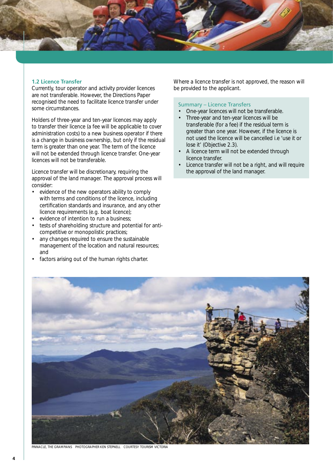<span id="page-9-0"></span>

#### **1.2 Licence Transfer**

Currently, tour operator and activity provider licences are not transferable. However, the Directions Paper recognised the need to facilitate licence transfer under some circumstances.

Holders of three-year and ten-year licences may apply to transfer their licence (a fee will be applicable to cover administration costs) to a new business operator if there is a change in business ownership, but only if the residual term is greater than one year. The term of the licence will not be extended through licence transfer. One-year licences will not be transferable.

Licence transfer will be discretionary, requiring the approval of the land manager. The approval process will consider:

- evidence of the new operators ability to comply with terms and conditions of the licence, including certification standards and insurance, and any other licence requirements (e.g. boat licence);
- evidence of intention to run a business;
- tests of shareholding structure and potential for anticompetitive or monopolistic practices;
- any changes required to ensure the sustainable management of the location and natural resources; and
- factors arising out of the human rights charter.

Where a licence transfer is not approved, the reason will be provided to the applicant.

#### Summary – Licence Transfers

- One-year licences will not be transferable.
- Three-year and ten-year licences will be transferable (for a fee) if the residual term is greater than one year. However, if the licence is not used the licence will be cancelled i.e 'use it or lose it' (Objective 2.3).
- A licence term will not be extended through licence transfer.
- Licence transfer will not be a right, and will require the approval of the land manager.



pinnacle, the grampians Photographer Ken stepnell courtesy Tourism Victoria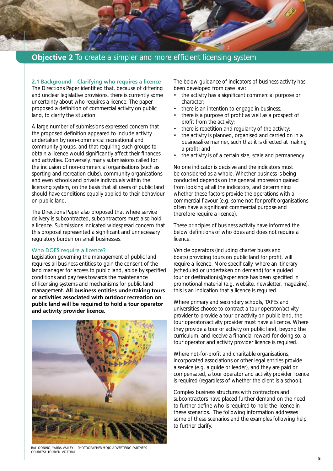<span id="page-10-0"></span>

# **Objective 2** To create a simpler and more efficient licensing system

**2.1 Background – Clarifying who requires a licence**

The Directions Paper identified that, because of differing and unclear legislative provisions, there is currently some uncertainty about who requires a licence. The paper proposed a definition of commercial activity on public land, to clarify the situation.

A large number of submissions expressed concern that the proposed definition appeared to include activity undertaken by non-commercial recreational and community groups, and that requiring such groups to obtain a licence would significantly affect their finances and activities. Conversely, many submissions called for the inclusion of non-commercial organisations (such as sporting and recreation clubs), community organisations and even schools and private individuals within the licensing system, on the basis that all users of public land should have conditions equally applied to their behaviour on public land.

The Directions Paper also proposed that where service delivery is subcontracted, subcontractors must also hold a licence. Submissions indicated widespread concern that this proposal represented a significant and unnecessary regulatory burden on small businesses.

#### Who DOES require a licence?

Legislation governing the management of public land requires all business entities to gain the consent of the land manager for access to public land, abide by specified conditions and pay fees towards the maintenance of licensing systems and mechanisms for public land management. **All business entities undertaking tours or activities associated with outdoor recreation on public land will be required to hold a tour operator and activity provider licence.** 



The below guidance of indicators of business activity has been developed from case law:

- the activity has a significant commercial purpose or character;
- there is an intention to engage in business;
- there is a purpose of profit as well as a prospect of profit from the activity;
- there is repetition and regularity of the activity;
- the activity is planned, organised and carried on in a businesslike manner, such that it is directed at making a profit; and
- the activity is of a certain size, scale and permanency.

No one indicator is decisive and the indicators must be considered as a whole. Whether business is being conducted depends on the general impression gained from looking at all the indicators, and determining whether these factors provide the operations with a commercial flavour (e.g. some not-for-profit organisations often have a significant commercial purpose and therefore require a licence).

These principles of business activity have informed the below definitions of who does and does not require a licence.

Vehicle operators (including charter buses and boats) providing tours on public land for profit, will require a licence. More specifically, where an itinerary (scheduled or undertaken on demand) for a guided tour or destination(s)/experience has been specified in promotional material (e.g. website, newsletter, magazine), this is an indication that a licence is required.

Where primary and secondary schools, TAFEs and universities choose to contract a tour operator/activity provider to provide a tour or activity on public land, the tour operator/activity provider must have a licence. Where they provide a tour or activity on public land, beyond the curriculum, and receive a financial reward for doing so, a tour operator and activity provider licence is required.

Where not-for-profit and charitable organisations, incorporated associations or other legal entities provide a service (e.g. a guide or leader), and they are paid or compensated, a tour operator and activity provider licence is required (regardless of whether the client is a school).

Complex business structures with contractors and subcontractors have placed further demand on the need to further define who is required to hold the licence in these scenarios. The following information addresses some of these scenarios and the examples following help to further clarify.

Ballooning, Yarra valley photographer mojo advertising partners courtesy Tourism Victoria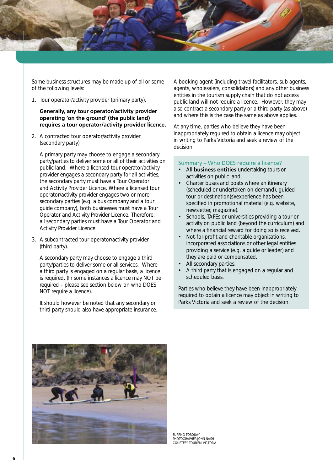<span id="page-11-0"></span>

Some business structures may be made up of all or some of the following levels:

1. Tour operator/activity provider (primary party).

#### **Generally, any tour operator/activity provider operating 'on the ground' (the public land) requires a tour operator/activity provider licence.**

2. A contracted tour operator/activity provider (secondary party).

A primary party may choose to engage a secondary party/parties to deliver some or all of their activities on public land. Where a licensed tour operator/activity provider engages a secondary party for all activities, the secondary party must have a Tour Operator and Activity Provider Licence. Where a licensed tour operator/activity provider engages two or more secondary parties (e.g. a bus company and a tour guide company), both businesses must have a Tour Operator and Activity Provider Licence. Therefore, all secondary parties must have a Tour Operator and Activity Provider Licence.

3. A subcontracted tour operator/activity provider (third party).

A secondary party may choose to engage a third party/parties to deliver some or all services. Where a third party is engaged on a regular basis, a licence is required. (In some instances a licence may NOT be required – please see section below on who DOES NOT require a licence).

It should however be noted that any secondary or third party should also have appropriate insurance. A booking agent (including travel facilitators, sub agents, agents, wholesalers, consolidators) and any other business entities in the tourism supply chain that do not access public land will not require a licence. However, they may also contract a secondary party or a third party (as above) and where this is the case the same as above applies.

At any time, parties who believe they have been inappropriately required to obtain a licence may object in writing to Parks Victoria and seek a review of the decision.

#### Summary – Who DOES require a licence?

- All **business entities** undertaking tours or activities on public land.
- Charter buses and boats where an itinerary (scheduled or undertaken on demand), guided tour or destination(s)/experience has been specified in promotional material (e.g. website, newsletter, magazine).
- Schools, TAFEs or universities providing a tour or activity on public land (beyond the curriculum) and where a financial reward for doing so is received.
- Not-for-profit and charitable organisations, incorporated associations or other legal entities providing a service (e.g. a guide or leader) and they are paid or compensated.
- All secondary parties.
- A third party that is engaged on a regular and scheduled basis.

Parties who believe they have been inappropriately required to obtain a licence may object in writing to Parks Victoria and seek a review of the decision.



Surfing torquay photographer john nash courtesy tourism victoria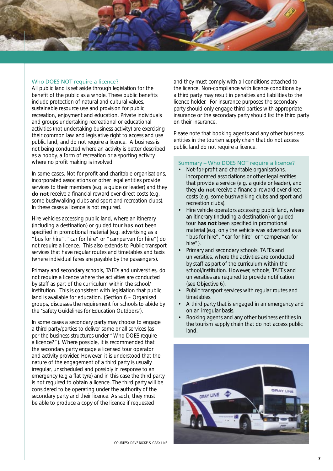<span id="page-12-0"></span>

#### Who DOES NOT require a licence?

All public land is set aside through legislation for the benefit of the public as a whole. These public benefits include protection of natural and cultural values, sustainable resource use and provision for public recreation, enjoyment and education. Private individuals and groups undertaking recreational or educational activities (not undertaking business activity) are exercising their common law and legislative right to access and use public land, and do not require a licence. A business is not being conducted where an activity is better described as a hobby, a form of recreation or a sporting activity where no profit making is involved.

In some cases, Not-for-profit and charitable organisations, incorporated associations or other legal entities provide services to their members (e.g. a guide or leader) and they **do not** receive a financial reward over direct costs (e.g. some bushwalking clubs and sport and recreation clubs). In these cases a licence is not required.

Hire vehicles accessing public land, where an itinerary (including a destination) or guided tour **has not** been specified in promotional material (e.g. advertising as a "bus for hire", "car for hire" or "campervan for hire") do not require a licence. This also extends to Public transport services that have regular routes and timetables and taxis (where individual fares are payable by the passengers).

Primary and secondary schools, TAFEs and universities, do not require a licence where the activities are conducted by staff as part of the curriculum within the school/ institution. This is consistent with legislation that public land is available for education. (Section 6 – Organised groups, discusses the requirement for schools to abide by the 'Safety Guidelines for Education Outdoors').

In some cases a secondary party may choose to engage a third party/parties to deliver some or all services (as per the business structures under "Who DOES require a licence?"). Where possible, it is recommended that the secondary party engage a licensed tour operator and activity provider. However, it is understood that the nature of the engagement of a third party is usually irregular, unscheduled and possibly in response to an emergency (e.g a flat tyre) and in this case the third party is not required to obtain a licence. The third party will be considered to be operating under the authority of the secondary party and their licence. As such, they must be able to produce a copy of the licence if requested

and they must comply with all conditions attached to the licence. Non-compliance with licence conditions by a third party may result in penalties and liabilities to the licence holder. For insurance purposes the secondary party should only engage third parties with appropriate insurance or the secondary party should list the third party on their insurance.

Please note that booking agents and any other business entities in the tourism supply chain that do not access public land do not require a licence.

#### Summary – Who DOES NOT require a licence?

- Not-for-profit and charitable organisations, incorporated associations or other legal entities that provide a service (e.g. a guide or leader), and they **do not** receive a financial reward over direct costs (e.g. some bushwalking clubs and sport and recreation clubs).
- Hire vehicle operators accessing public land, where an itinerary (including a destination) or guided tour **has not** been specified in promotional material (e.g. only the vehicle was advertised as a "bus for hire", "car for hire" or "campervan for hire").
- Primary and secondary schools, TAFEs and universities, where the activities are conducted by staff as part of the curriculum within the school/institution. However, schools, TAFEs and universities are required to provide notification (see Objective 6).
- Public transport services with regular routes and timetables.
- A third party that is engaged in an emergency and on an irregular basis.
- Booking agents and any other business entities in the tourism supply chain that do not access public land.



courtesy dave nickels, gray line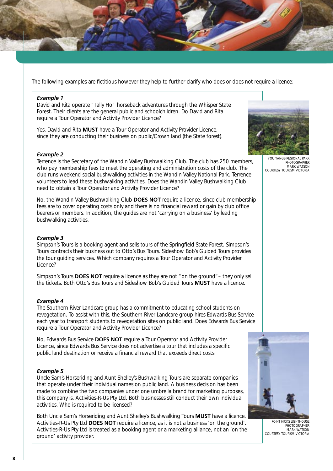

The following examples are fictitious however they help to further clarify who does or does not require a licence:

#### *Example 1*

David and Rita operate "Tally Ho" horseback adventures through the Whisper State Forest. Their clients are the general public and schoolchildren. Do David and Rita require a Tour Operator and Activity Provider Licence?

Yes, David and Rita **MUST** have a Tour Operator and Activity Provider Licence, since they are conducting their business on public/Crown land (the State forest).

#### *Example 2*

Terrence is the Secretary of the Wandin Valley Bushwalking Club. The club has 250 members, who pay membership fees to meet the operating and administration costs of the club. The club runs weekend social bushwalking activities in the Wandin Valley National Park. Terrence volunteers to lead these bushwalking activities. Does the Wandin Valley Bushwalking Club need to obtain a Tour Operator and Activity Provider Licence?

No, the Wandin Valley Bushwalking Club **DOES NOT** require a licence, since club membership fees are to cover operating costs only and there is no financial reward or gain by club office bearers or members. In addition, the guides are not 'carrying on a business' by leading bushwalking activities.

#### *Example 3*

Simpson's Tours is a booking agent and sells tours of the Springfield State Forest. Simpson's Tours contracts their business out to Otto's Bus Tours. Sideshow Bob's Guided Tours provides the tour guiding services. Which company requires a Tour Operator and Activity Provider Licence?

Simpson's Tours **DOES NOT** require a licence as they are not "on the ground"– they only sell the tickets. Both Otto's Bus Tours and Sideshow Bob's Guided Tours **MUST** have a licence.

#### *Example 4*

The Southern River Landcare group has a commitment to educating school students on revegetation. To assist with this, the Southern River Landcare group hires Edwards Bus Service each year to transport students to revegetation sites on public land. Does Edwards Bus Service require a Tour Operator and Activity Provider Licence?

No, Edwards Bus Service **DOES NOT** require a Tour Operator and Activity Provider Licence, since Edwards Bus Service does not advertise a tour that includes a specific public land destination or receive a financial reward that exceeds direct costs.

#### *Example 5*

Uncle Sam's Horseriding and Aunt Shelley's Bushwalking Tours are separate companies that operate under their individual names on public land. A business decision has been made to combine the two companies under one umbrella brand for marketing purposes, this company is, Activities-R-Us Pty Ltd. Both businesses still conduct their own individual activities. Who is required to be licensed?

Both Uncle Sam's Horseriding and Aunt Shelley's Bushwalking Tours **MUST** have a licence. Activities-R-Us Pty Ltd **DOES NOT** require a licence, as it is not a business 'on the ground'. Activities-R-Us Pty Ltd is treated as a booking agent or a marketing alliance, not an 'on the ground' activity provider.



YOU YANGS REGIONAL PHOTOGRAPHER mark watson courtesy Tourism Victoria



point hicks lighthouse PHOTOGRAPHER MARK WATSON courtesy Tourism Victoria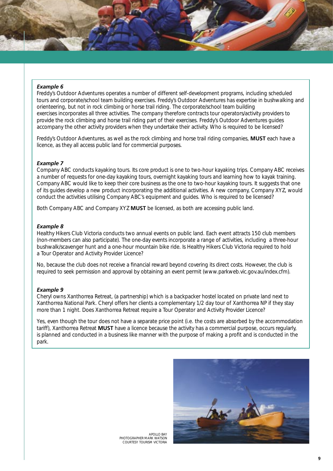#### *Example 6*

Freddy's Outdoor Adventures operates a number of different self-development programs, including scheduled tours and corporate/school team building exercises. Freddy's Outdoor Adventures has expertise in bushwalking and orienteering, but not in rock climbing or horse trail riding. The corporate/school team building exercises incorporates all three activities. The company therefore contracts tour operators/activity providers to provide the rock climbing and horse trail riding part of their exercises. Freddy's Outdoor Adventures guides accompany the other activity providers when they undertake their activity. Who is required to be licensed?

Freddy's Outdoor Adventures, as well as the rock climbing and horse trail riding companies, **MUST** each have a licence, as they all access public land for commercial purposes.

#### *Example 7*

Company ABC conducts kayaking tours. Its core product is one to two-hour kayaking trips. Company ABC receives a number of requests for one-day kayaking tours, overnight kayaking tours and learning how to kayak training. Company ABC would like to keep their core business as the one to two-hour kayaking tours. It suggests that one of its guides develop a new product incorporating the additional activities. A new company, Company XYZ, would conduct the activities utilising Company ABC's equipment and guides. Who is required to be licensed?

Both Company ABC and Company XYZ **MUST** be licensed, as both are accessing public land.

#### *Example 8*

Healthy Hikers Club Victoria conducts two annual events on public land. Each event attracts 150 club members (non-members can also participate). The one-day events incorporate a range of activities, including a three-hour bushwalk/scavenger hunt and a one-hour mountain bike ride. Is Healthy Hikers Club Victoria required to hold a Tour Operator and Activity Provider Licence?

No, because the club does not receive a financial reward beyond covering its direct costs. However, the club is required to seek permission and approval by obtaining an event permit (www.parkweb.vic.gov.au/index.cfm).

#### *Example 9*

Cheryl owns Xanthorrea Retreat, (a partnership) which is a backpacker hostel located on private land next to Xanthorrea National Park. Cheryl offers her clients a complementary 1/2 day tour of Xanthorrea NP if they stay more than 1 night. Does Xanthorrea Retreat require a Tour Operator and Activity Provider Licence?

Yes, even though the tour does not have a separate price point (i.e. the costs are absorbed by the accommodation tariff), Xanthorrea Retreat **MUST** have a licence because the activity has a commercial purpose, occurs regularly, is planned and conducted in a business like manner with the purpose of making a profit and is conducted in the park.



apollo bay Photographer mark watson courtesy Tourism Victoria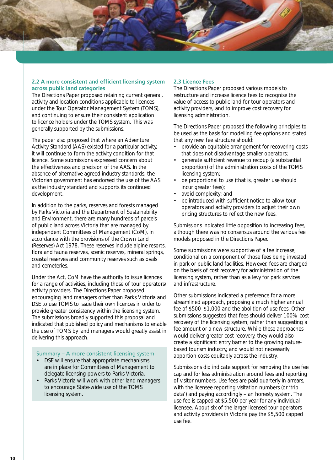<span id="page-15-0"></span>

### **2.2 A more consistent and efficient licensing system across public land categories**

The Directions Paper proposed retaining current general, activity and location conditions applicable to licences under the Tour Operator Management System (TOMS), and continuing to ensure their consistent application to licence holders under the TOMS system. This was generally supported by the submissions.

The paper also proposed that where an Adventure Activity Standard (AAS) existed for a particular activity, it will continue to form the activity condition for that licence. Some submissions expressed concern about the effectiveness and precision of the AAS. In the absence of alternative agreed industry standards, the Victorian government has endorsed the use of the AAS as the industry standard and supports its continued development.

In addition to the parks, reserves and forests managed by Parks Victoria and the Department of Sustainability and Environment, there are many hundreds of parcels of public land across Victoria that are managed by independent Committees of Management (CoM), in accordance with the provisions of the *Crown Land (Reserves) Act 1978*. These reserves include alpine resorts, flora and fauna reserves, scenic reserves, mineral springs, coastal reserves and community reserves such as ovals and cemeteries.

Under the Act, CoM have the authority to issue licences for a range of activities, including those of tour operators/ activity providers. The Directions Paper proposed encouraging land managers other than Parks Victoria and DSE to use TOMS to issue their own licences in order to provide greater consistency within the licensing system. The submissions broadly supported this proposal and indicated that published policy and mechanisms to enable the use of TOMS by land managers would greatly assist in delivering this approach.

Summary – A more consistent licensing system

- DSE will ensure that appropriate mechanisms are in place for Committees of Management to delegate licensing powers to Parks Victoria.
- Parks Victoria will work with other land managers to encourage State-wide use of the TOMS licensing system.

# **2.3 Licence Fees**

The Directions Paper proposed various models to restructure and increase licence fees to recognise the value of access to public land for tour operators and activity providers, and to improve cost recovery for licensing administration.

The Directions Paper proposed the following principles to be used as the basis for modelling fee options and stated that any new fee structure should:

- provide an equitable arrangement for recovering costs that does not disadvantage smaller operators;
- generate sufficient revenue to recoup (a substantial proportion) of the administration costs of the TOMS licensing system;
- be proportional to use (that is, greater use should incur greater fees);
- avoid complexity; and
- be introduced with sufficient notice to allow tour operators and activity providers to adjust their own pricing structures to reflect the new fees.

Submissions indicated little opposition to increasing fees, although there was no consensus around the various fee models proposed in the Directions Paper.

Some submissions were supportive of a fee increase, conditional on a component of those fees being invested in park or public land facilities. However, fees are charged on the basis of cost recovery for administration of the licensing system, rather than as a levy for park services and infrastructure.

Other submissions indicated a preference for a more streamlined approach, proposing a much higher annual fee of \$500–\$1,000 and the abolition of use fees. Other submissions suggested that fees should deliver 100% cost recovery of the licensing system, rather than suggesting a fee amount or a new structure. While these approaches would deliver greater cost recovery, they would also create a significant entry barrier to the growing naturebased tourism industry, and would not necessarily apportion costs equitably across the industry.

Submissions did indicate support for removing the use fee cap and for less administration around fees and reporting of visitor numbers. Use fees are paid quarterly in arrears, with the licensee reporting visitation numbers (or 'trip data') and paying accordingly – an honesty system. The use fee is capped at \$5,500 per year for any individual licensee. About six of the larger licensed tour operators and activity providers in Victoria pay the \$5,500 capped use fee.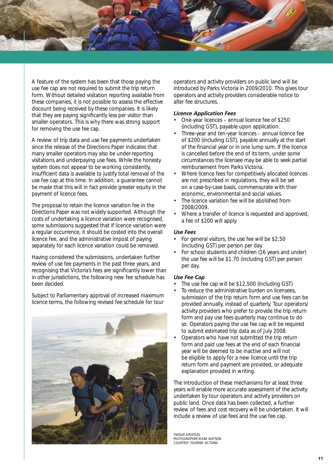

A feature of the system has been that those paying the use fee cap are not required to submit the trip return form. Without detailed visitation reporting available from these companies, it is not possible to assess the effective discount being received by these companies. It is likely that they are paying significantly less per visitor than smaller operators. This is why there was strong support for removing the use fee cap.

A review of trip data and use fee payments undertaken since the release of the Directions Paper indicates that many smaller operators may also be under-reporting visitations and underpaying use fees. While the honesty system does not appear to be working consistently, insufficient data is available to justify total removal of the use fee cap at this time. In addition, a guarantee cannot be made that this will in fact provide greater equity in the payment of licence fees.

The proposal to retain the licence variation fee in the Directions Paper was not widely supported. Although the costs of undertaking a licence variation were recognised, some submissions suggested that if licence variation were a regular occurrence, it should be costed into the overall licence fee, and the administrative impost of paying separately for each licence variation could be removed.

Having considered the submissions, undertaken further review of use fee payments in the past three years, and recognising that Victoria's fees are significantly lower than in other jurisdictions, the following new fee schedule has been decided.

Subject to Parliamentary approval of increased maximum licence terms, the following revised fee schedule for tour



operators and activity providers on public land will be introduced by Parks Victoria in 2009/2010. This gives tour operators and activity providers considerable notice to alter fee structures.

#### *Licence Application Fees*

- One-year licences annual licence fee of \$250 (including GST), payable upon application.
- Three-year and ten-year licences annual licence fee of \$200 (including GST), payable annually at the start of the financial year or in one lump sum. If the licence is cancelled before the end of its term, under some circumstances the licensee may be able to seek partial reimbursement from Parks Victoria.
- Where licence fees for competitively allocated licences are not prescribed in regulations, they will be set on a case-by-case basis, commensurate with their economic, environmental and social values.
- The licence variation fee will be abolished from 2008/2009.
- Where a transfer of licence is requested and approved, a fee of \$200 will apply.

# *Use Fees*

- For general visitors, the use fee will be \$2.50 (including GST) per person per day.
- For school students and children (16 years and under) the use fee will be \$1.70 (including GST) per person per day.

#### *Use Fee Cap*

- The use fee cap will be \$12,500 (including GST)
- To reduce the administrative burden on licensees, submission of the trip return form and use fees can be provided annually, instead of quarterly. Tour operators/ activity providers who prefer to provide the trip return form and pay use fees quarterly may continue to do so. Operators paying the use fee cap will be required to submit estimated trip data as of July 2008.
- Operators who have not submitted the trip return form and paid use fees at the end of each financial year will be deemed to be inactive and will not be eligible to apply for a new licence until the trip return form and payment are provided, or adequate explanation provided in writing.

The introduction of these mechanisms for at least three years will enable more accurate assessment of the activity undertaken by tour operators and activity providers on public land. Once data has been collected, a further review of fees and cost recovery will be undertaken. It will include a review of use fees and the use fee cap.

TWELVE APOSTLES<br>PHOTOGRAPHER MARK W courtesy Tourism Victoria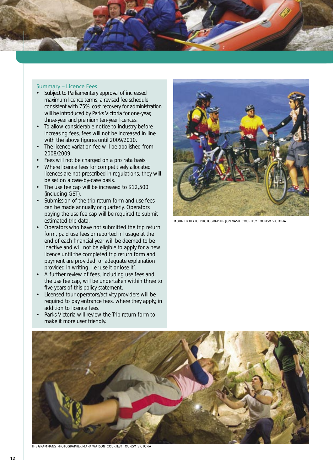<span id="page-17-0"></span>

#### Summary – Licence Fees

- Subject to Parliamentary approval of increased maximum licence terms, a revised fee schedule consistent with 75% cost recovery for administration will be introduced by Parks Victoria for one-year, three-year and premium ten-year licences.
- To allow considerable notice to industry before increasing fees, fees will not be increased in line with the above figures until 2009/2010.
- The licence variation fee will be abolished from 2008/2009.
- Fees will not be charged on a pro rata basis.
- Where licence fees for competitively allocated licences are not prescribed in regulations, they will be set on a case-by-case basis.
- The use fee cap will be increased to \$12,500 (including GST).
- Submission of the trip return form and use fees can be made annually or quarterly. Operators paying the use fee cap will be required to submit estimated trip data.
- Operators who have not submitted the trip return form, paid use fees or reported nil usage at the end of each financial year will be deemed to be inactive and will not be eligible to apply for a new licence until the completed trip return form and payment are provided, or adequate explanation provided in writing. i.e 'use it or lose it'.
- A further review of fees, including use fees and the use fee cap, will be undertaken within three to five years of this policy statement.
- Licensed tour operators/activity providers will be required to pay entrance fees, where they apply, in addition to licence fees.
- Parks Victoria will review the Trip return form to make it more user friendly.



Mount buffalo Photographer Jon Nash courtesy Tourism Victoria



the grampians Photographer mark watson courtesy Tourism Victoria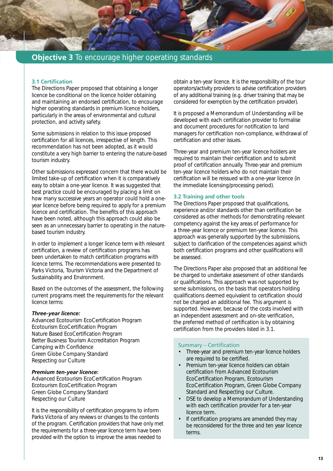<span id="page-18-0"></span>

# **Objective 3** To encourage higher operating standards

# **3.1 Certification**

The Directions Paper proposed that obtaining a longer licence be conditional on the licence holder obtaining and maintaining an endorsed certification, to encourage higher operating standards in premium licence holders, particularly in the areas of environmental and cultural protection, and activity safety.

Some submissions in relation to this issue proposed certification for all licences, irrespective of length. This recommendation has not been adopted, as it would constitute a very high barrier to entering the nature-based tourism industry.

Other submissions expressed concern that there would be limited take-up of certification when it is comparatively easy to obtain a one-year licence. It was suggested that best practice could be encouraged by placing a limit on how many successive years an operator could hold a oneyear licence before being required to apply for a premium licence and certification. The benefits of this approach have been noted, although this approach could also be seen as an unnecessary barrier to operating in the naturebased tourism industry.

In order to implement a longer licence term with relevant certification, a review of certification programs has been undertaken to match certification programs with licence terms. The recommendations were presented to Parks Victoria, Tourism Victoria and the Department of Sustainability and Environment.

Based on the outcomes of the assessment, the following current programs meet the requirements for the relevant licence terms:

#### *Three-year licence:*

Advanced Ecotourism EcoCertification Program Ecotourism EcoCertification Program Nature Based EcoCertification Program Better Business Tourism Accreditation Program Camping with Confidence Green Globe Company Standard Respecting our Culture

# *Premium ten-year licence:*

Advanced Ecotourism EcoCertification Program Ecotourism EcoCertification Program Green Globe Company Standard Respecting our Culture

It is the responsibility of certification programs to inform Parks Victoria of any reviews or changes to the contents of the program. Certification providers that have only met the requirements for a three-year licence term have been provided with the option to improve the areas needed to

obtain a ten-year licence. It is the responsibility of the tour operators/activity providers to advise certification providers of any additional training (e.g. driver training that may be considered for exemption by the certification provider).

It is proposed a Memorandum of Understanding will be developed with each certification provider to formalise and document procedures for notification to land managers for certification non-compliance, withdrawal of certification and other issues.

Three-year and premium ten-year licence holders are required to maintain their certification and to submit proof of certification annually. Three-year and premium ten-year licence holders who do not maintain their certification will be reissued with a one-year licence (in the immediate licensing/processing period).

# **3.2 Training and other tools**

The Directions Paper proposed that qualifications, experience and/or standards other than certification be considered as other methods for demonstrating relevant competency against the key areas of performance for a three-year licence or premium ten-year licence. This approach was generally supported by the submissions, subject to clarification of the competencies against which both certification programs and other qualifications will be assessed.

The Directions Paper also proposed that an additional fee be charged to undertake assessment of other standards or qualifications. This approach was not supported by some submissions, on the basis that operators holding qualifications deemed equivalent to certification should not be charged an additional fee. This argument is supported. However, because of the costs involved with an independent assessment and on-site verification, the preferred method of certification is by obtaining certification from the providers listed in 3.1.

# Summary – Certification

- Three-year and premium ten-year licence holders are required to be certified.
- Premium ten-year licence holders can obtain certification from Advanced Ecotourism EcoCertification Program, Ecotourism EcoCertification Program, Green Globe Company Standard and Respecting our Culture.
- DSE to develop a Memorandum of Understanding with each certification provider for a ten-year licence term.
- If certification programs are amended they may be reconsidered for the three and ten year licence terms.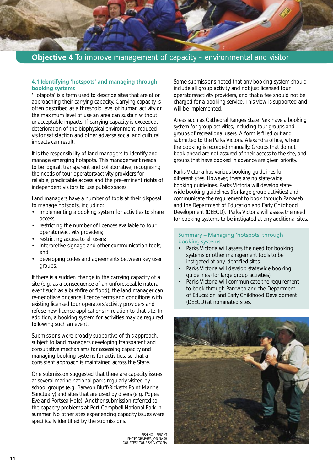<span id="page-19-0"></span>

#### **4.1 Identifying 'hotspots' and managing through booking systems**

'Hotspots' is a term used to describe sites that are at or approaching their carrying capacity. Carrying capacity is often described as a threshold level of human activity or the maximum level of use an area can sustain without unacceptable impacts. If carrying capacity is exceeded, deterioration of the biophysical environment, reduced visitor satisfaction and other adverse social and cultural impacts can result.

It is the responsibility of land managers to identify and manage emerging hotspots. This management needs to be logical, transparent and collaborative, recognising the needs of tour operators/activity providers for reliable, predictable access and the pre-eminent rights of independent visitors to use public spaces.

Land managers have a number of tools at their disposal to manage hotspots, including:

- implementing a booking system for activities to share access;
- restricting the number of licences available to tour operators/activity providers;
- restricting access to all users;
- interpretive signage and other communication tools; and
- developing codes and agreements between key user groups.

If there is a sudden change in the carrying capacity of a site (e.g. as a consequence of an unforeseeable natural event such as a bushfire or flood), the land manager can re-negotiate or cancel licence terms and conditions with existing licensed tour operators/activity providers and refuse new licence applications in relation to that site. In addition, a booking system for activities may be required following such an event.

Submissions were broadly supportive of this approach, subject to land managers developing transparent and consultative mechanisms for assessing capacity and managing booking systems for activities, so that a consistent approach is maintained across the State.

One submission suggested that there are capacity issues at several marine national parks regularly visited by school groups (e.g. Barwon Bluff/Ricketts Point Marine Sanctuary) and sites that are used by divers (e.g. Popes Eye and Portsea Hole). Another submission referred to the capacity problems at Port Campbell National Park in summer. No other sites experiencing capacity issues were specifically identified by the submissions.

> Fishing – Bright PHOTOGRAPHER JON NASH courtesy Tourism Victoria

Some submissions noted that any booking system should include all group activity and not just licensed tour operators/activity providers, and that a fee should not be charged for a booking service. This view is supported and will be implemented.

Areas such as Cathedral Ranges State Park have a booking system for group activities, including tour groups and groups of recreational users. A form is filled out and submitted to the Parks Victoria Alexandra office, where the booking is recorded manually. Groups that do not book ahead are not assured of their access to the site, and groups that have booked in advance are given priority.

Parks Victoria has various booking guidelines for different sites. However, there are no state-wide booking guidelines. Parks Victoria will develop statewide booking guidelines (for large group activities) and communicate the requirement to book through Parkweb and the Department of Education and Early Childhood Development (DEECD). Parks Victoria will assess the need for booking systems to be instigated at any additional sites.

#### Summary – Managing 'hotspots' through booking systems

- Parks Victoria will assess the need for booking systems or other management tools to be instigated at any identified sites.
- Parks Victoria will develop statewide booking guidelines (for large group activities).
- Parks Victoria will communicate the requirement to book through Parkweb and the Department of Education and Early Childhood Development (DEECD) at nominated sites.

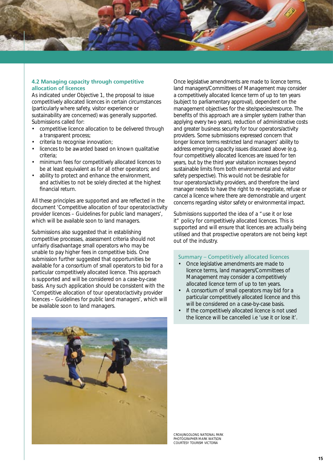<span id="page-20-0"></span>

#### **4.2 Managing capacity through competitive allocation of licences**

As indicated under Objective 1, the proposal to issue competitively allocated licences in certain circumstances (particularly where safety, visitor experience or sustainability are concerned) was generally supported. Submissions called for:

- competitive licence allocation to be delivered through a transparent process;
- criteria to recognise innovation;
- licences to be awarded based on known qualitative criteria;
- minimum fees for competitively allocated licences to be at least equivalent as for all other operators; and
- ability to protect and enhance the environment, and activities to not be solely directed at the highest financial return.

All these principles are supported and are reflected in the document 'Competitive allocation of tour operator/activity provider licences – Guidelines for public land managers', which will be available soon to land managers.

Submissions also suggested that in establishing competitive processes, assessment criteria should not unfairly disadvantage small operators who may be unable to pay higher fees in competitive bids. One submission further suggested that opportunities be available for a consortium of small operators to bid for a particular competitively allocated licence. This approach is supported and will be considered on a case-by-case basis. Any such application should be consistent with the 'Competitive allocation of tour operator/activity provider licences – Guidelines for public land managers', which will be available soon to land managers.

Once legislative amendments are made to licence terms, land managers/Committees of Management may consider a competitively allocated licence term of up to ten years (subject to parliamentary approval), dependent on the management objectives for the site/species/resource. The benefits of this approach are a simpler system (rather than applying every two years), reduction of administrative costs and greater business security for tour operators/activity providers. Some submissions expressed concern that longer licence terms restricted land managers' ability to address emerging capacity issues discussed above (e.g. four competitively allocated licences are issued for ten years, but by the third year visitation increases beyond sustainable limits from both environmental and visitor safety perspective). This would not be desirable for tour operators/activity providers, and therefore the land manager needs to have the right to re-negotiate, refuse or cancel a licence where there are demonstrable and urgent concerns regarding visitor safety or environmental impact.

Submissions supported the idea of a "use it or lose it" policy for competitively allocated licences. This is supported and will ensure that licences are actually being utilised and that prospective operators are not being kept out of the industry.

#### Summary – Competitively allocated licences

- Once legislative amendments are made to licence terms, land managers/Committees of Management may consider a competitively allocated licence term of up to ten years.
- A consortium of small operators may bid for a particular competitively allocated licence and this will be considered on a case-by-case basis.
- If the competitively allocated licence is not used the licence will be cancelled i.e 'use it or lose it'.



Croajingolong National Park Photographer Mark Watson courtesy Tourism Victoria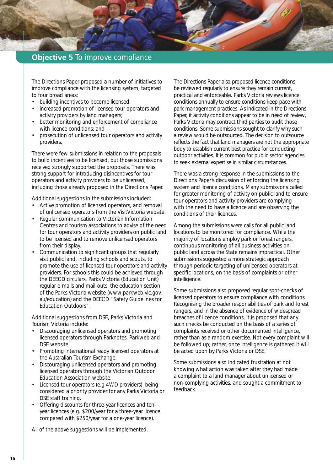# <span id="page-21-0"></span>**Objective 5** To improve compliance

The Directions Paper proposed a number of initiatives to improve compliance with the licensing system, targeted to four broad areas:

- building incentives to become licensed;
- increased promotion of licensed tour operators and activity providers by land managers;
- better monitoring and enforcement of compliance with licence conditions; and
- prosecution of unlicensed tour operators and activity providers.

There were few submissions in relation to the proposals to build incentives to be licensed, but those submissions received strongly supported the proposals. There was strong support for introducing disincentives for tour operators and activity providers to be unlicensed, including those already proposed in the Directions Paper.

Additional suggestions in the submissions included:

- Active promotion of licensed operators, and removal of unlicensed operators from the VisitVictoria website.
- Regular communication to Victorian Information Centres and tourism associations to advise of the need for tour operators and activity providers on public land to be licensed and to remove unlicensed operators from their display.
- Communication to significant groups that regularly visit public land, including schools and scouts, to promote the use of licensed tour operators and activity providers. For schools this could be achieved through the DEECD circulars, Parks Victoria (Education Unit) regular e-mails and mail-outs, the education section of the Parks Victoria website (www.parkweb.vic.gov. au/education) and the DEECD "Safety Guidelines for Education Outdoors".

Additional suggestions from DSE, Parks Victoria and Tourism Victoria include:

- Discouraging unlicensed operators and promoting licensed operators through Parknotes, Parkweb and DSE website.
- Promoting international ready licensed operators at the Australian Tourism Exchange.
- Discouraging unlicensed operators and promoting licensed operators through the Victorian Outdoor Education Association website.
- Licensed tour operators (e.g 4WD providers) being considered a priority provider for any Parks Victoria or DSE staff training.
- Offering discounts for three-year licences and tenyear licences (e.g. \$200/year for a three-year licence compared with \$250/year for a one-year licence).

All of the above suggestions will be implemented.

The Directions Paper also proposed licence conditions be reviewed regularly to ensure they remain current, practical and enforceable. Parks Victoria reviews licence conditions annually to ensure conditions keep pace with park management practices. As indicated in the Directions Paper, if activity conditions appear to be in need of review, Parks Victoria may contract third parties to audit those conditions. Some submissions sought to clarify why such a review would be outsourced. The decision to outsource reflects the fact that land managers are not the appropriate body to establish current best practice for conducting outdoor activities. It is common for public sector agencies to seek external expertise in similar circumstances.

There was a strong response in the submissions to the Directions Paper's discussion of enforcing the licensing system and licence conditions. Many submissions called for greater monitoring of activity on public land to ensure tour operators and activity providers are complying with the need to have a licence and are observing the conditions of their licences.

Among the submissions were calls for all public land locations to be monitored for compliance. While the majority of locations employ park or forest rangers, continuous monitoring of all business activities on public land across the State remains impractical. Other submissions suggested a more strategic approach through periodic targeting of unlicensed operators at specific locations, on the basis of complaints or other intelligence.

Some submissions also proposed regular spot-checks of licensed operators to ensure compliance with conditions. Recognising the broader responsibilities of park and forest rangers, and in the absence of evidence of widespread breaches of licence conditions, it is proposed that any such checks be conducted on the basis of a series of complaints received or other documented intelligence, rather than as a random exercise. Not every complaint will be followed up; rather, once intelligence is gathered it will be acted upon by Parks Victoria or DSE.

Some submissions also indicated frustration at not knowing what action was taken after they had made a complaint to a land manager about unlicensed or non-complying activities, and sought a commitment to feedback.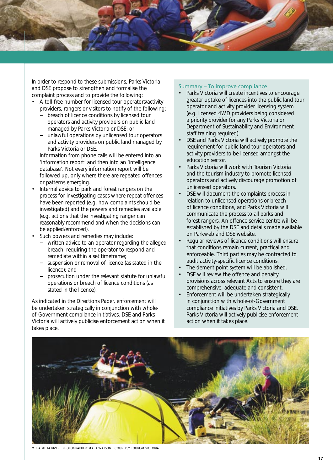<span id="page-22-0"></span>

In order to respond to these submissions, Parks Victoria and DSE propose to strengthen and formalise the complaint process and to provide the following:

- A toll-free number for licensed tour operators/activity providers, rangers or visitors to notify of the following:
	- − breach of licence conditions by licensed tour operators and activity providers on public land managed by Parks Victoria or DSE; or
	- unlawful operations by unlicensed tour operators and activity providers on public land managed by Parks Victoria or DSE.

Information from phone calls will be entered into an 'information report' and then into an 'intelligence database'. Not every information report will be followed up, only where there are repeated offences or patterns emerging.

- Internal advice to park and forest rangers on the process for investigating cases where repeat offences have been reported (e.g. how complaints should be investigated) and the powers and remedies available (e.g. actions that the investigating ranger can reasonably recommend and when the decisions can be applied/enforced).
- Such powers and remedies may include:
	- − written advice to an operator regarding the alleged breach, requiring the operator to respond and remediate within a set timeframe;
	- suspension or removal of licence (as stated in the licence); and
	- − prosecution under the relevant statute for unlawful operations or breach of licence conditions (as stated in the licence).

As indicated in the Directions Paper, enforcement will be undertaken strategically in conjunction with wholeof-Government compliance initiatives. DSE and Parks Victoria will actively publicise enforcement action when it takes place.

#### Summary – To improve compliance

- Parks Victoria will create incentives to encourage greater uptake of licences into the public land tour operator and activity provider licensing system (e.g. licensed 4WD providers being considered a priority provider for any Parks Victoria or Department of Sustainability and Environment staff training required).
- DSE and Parks Victoria will actively promote the requirement for public land tour operators and activity providers to be licensed amongst the education sector.
- Parks Victoria will work with Tourism Victoria and the tourism industry to promote licensed operators and actively discourage promotion of unlicensed operators.
- DSE will document the complaints process in relation to unlicensed operations or breach of licence conditions, and Parks Victoria will communicate the process to all parks and forest rangers. An offence service centre will be established by the DSE and details made available on Parkweb and DSE website.
- Regular reviews of licence conditions will ensure that conditions remain current, practical and enforceable. Third parties may be contracted to audit activity-specific licence conditions.
- The demerit point system will be abolished.
- DSE will review the offence and penalty provisions across relevant Acts to ensure they are comprehensive, adequate and consistent.
- Enforcement will be undertaken strategically in conjunction with whole-of-Government compliance initiatives by Parks Victoria and DSE. Parks Victoria will actively publicise enforcement action when it takes place.



mitta mitta river Photographer: Mark Watson courtesy tourism victoria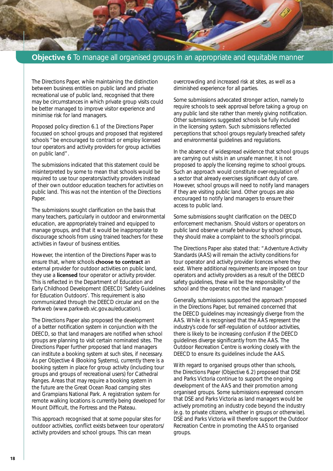<span id="page-23-0"></span>

The Directions Paper, while maintaining the distinction between business entities on public land and private recreational use of public land, recognised that there may be circumstances in which private group visits could be better managed to improve visitor experience and minimise risk for land managers.

Proposed policy direction 6.1 of the Directions Paper focussed on school groups and proposed that registered schools "be encouraged to contract or employ licensed tour operators and activity providers for group activities on public land".

The submissions indicated that this statement could be misinterpreted by some to mean that schools would be required to use tour operators/activity providers instead of their own outdoor education teachers for activities on public land. This was not the intention of the Directions Paper.

The submissions sought clarification on the basis that many teachers, particularly in outdoor and environmental education, are appropriately trained and equipped to manage groups, and that it would be inappropriate to discourage schools from using trained teachers for these activities in favour of business entities.

However, the intention of the Directions Paper was to ensure that, where schools **choose to contract** an external provider for outdoor activities on public land, they use a **licensed** tour operator or activity provider. This is reflected in the Department of Education and Early Childhood Development (DEECD) 'Safety Guidelines for Education Outdoors'. This requirement is also communicated through the DEECD circular and on the Parkweb (www.parkweb.vic.gov.au/education).

The Directions Paper also proposed the development of a better notification system in conjunction with the DEECD, so that land managers are notified when school groups are planning to visit certain nominated sites. The Directions Paper further proposed that land managers can institute a booking system at such sites, if necessary. As per Objective 4 (Booking Systems), currently there is a booking system in place for group activity (including tour groups and groups of recreational users) for Cathedral Ranges. Areas that may require a booking system in the future are the Great Ocean Road camping sites and Grampians National Park. A registration system for remote walking locations is currently being developed for Mount Difficult, the Fortress and the Plateau.

This approach recognised that at some popular sites for outdoor activities, conflict exists between tour operators/ activity providers and school groups. This can mean

overcrowding and increased risk at sites, as well as a diminished experience for all parties.

Some submissions advocated stronger action, namely to require schools to seek approval before taking a group on any public land site rather than merely giving notification. Other submissions suggested schools be fully included in the licensing system. Such submissions reflected perceptions that school groups regularly breached safety and environmental guidelines and regulations.

In the absence of widespread evidence that school groups are carrying out visits in an unsafe manner, it is not proposed to apply the licensing regime to school groups. Such an approach would constitute over-regulation of a sector that already exercises significant duty of care. However, school groups will need to notify land managers if they are visiting public land. Other groups are also encouraged to notify land managers to ensure their access to public land.

Some submissions sought clarification on the DEECD enforcement mechanism. Should visitors or operators on public land observe unsafe behaviour by school groups, they should make a complaint to the school's principal.

The Directions Paper also stated that: "Adventure Activity Standards (AAS) will remain the activity conditions for tour operator and activity provider licences where they exist. Where additional requirements are imposed on tour operators and activity providers as a result of the DEECD safety guidelines, these will be the responsibility of the school and the operator, not the land manager."

Generally, submissions supported the approach proposed in the Directions Paper, but remained concerned that the DEECD guidelines may increasingly diverge from the AAS. While it is recognised that the AAS represent the industry's code for self-regulation of outdoor activities, there is likely to be increasing confusion if the DEECD guidelines diverge significantly from the AAS. The Outdoor Recreation Centre is working closely with the DEECD to ensure its guidelines include the AAS.

With regard to organised groups other than schools, the Directions Paper (Objective 6.2) proposed that DSE and Parks Victoria continue to support the ongoing development of the AAS and their promotion among organised groups. Some submissions expressed concern that DSE and Parks Victoria as land managers would be actively promoting an industry code beyond the industry (e.g. to private citizens, whether in groups or otherwise). DSE and Parks Victoria will therefore support the Outdoor Recreation Centre in promoting the AAS to organised groups.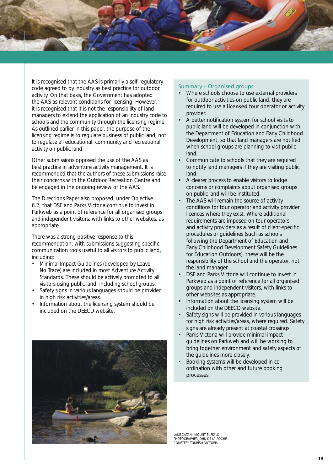<span id="page-24-0"></span>

It is recognised that the AAS is primarily a self-regulatory code agreed to by industry as best practice for outdoor activity. On that basis, the Government has adopted the AAS as relevant conditions for licensing. However, it is recognised that it is not the responsibility of land managers to extend the application of an industry code to schools and the community through the licensing regime. As outlined earlier in this paper, the purpose of the licensing regime is to regulate business of public land, not to regulate all educational, community and recreational activity on public land.

Other submissions opposed the use of the AAS as best practice in adventure activity management. It is recommended that the authors of these submissions raise their concerns with the Outdoor Recreation Centre and be engaged in the ongoing review of the AAS.

The Directions Paper also proposed, under Objective 6.2, that DSE and Parks Victoria continue to invest in Parkweb as a point of reference for all organised groups and independent visitors, with links to other websites, as appropriate.

There was a strong positive response to this recommendation, with submissions suggesting specific communication tools useful to all visitors to public land, including:

- Minimal Impact Guidelines (developed by Leave No Trace) are included in most Adventure Activity Standards. These should be actively promoted to all visitors using public land, including school groups.
- Safety signs in various languages should be provided in high risk activities/areas.
- Information about the licensing system should be included on the DEECD website.



#### Summary – Organised groups

- Where schools choose to use external providers for outdoor activities on public land, they are required to use a **licensed** tour operator or activity provider.
- A better notification system for school visits to public land will be developed in conjunction with the Department of Education and Early Childhood Development, so that land managers are notified when school groups are planning to visit public land.
- Communicate to schools that they are required to notify land managers if they are visiting public land.
- A clearer process to enable visitors to lodge concerns or complaints about organised groups on public land will be instituted.
- The AAS will remain the source of activity conditions for tour operator and activity provider licences where they exist. Where additional requirements are imposed on tour operators and activity providers as a result of client-specific procedures or guidelines (such as schools following the Department of Education and Early Childhood Development Safety Guidelines for Education Outdoors), these will be the responsibility of the school and the operator, not the land manager.
- DSE and Parks Victoria will continue to invest in Parkweb as a point of reference for all organised groups and independent visitors, with links to other websites as appropriate.
- Information about the licensing system will be included on the DEECD website.
- Safety signs will be provided in various languages for high risk activities/areas, where required. Safety signs are already present at coastal crossings.
- Parks Victoria will provide minimal impact guidelines on Parkweb and will be working to bring together environment and safety aspects of the guidelines more closely.
- Booking systems will be developed in coordination with other and future booking processes.

lake catani, mount buffalo Photographer john de la roche courtesy Tourism Victoria